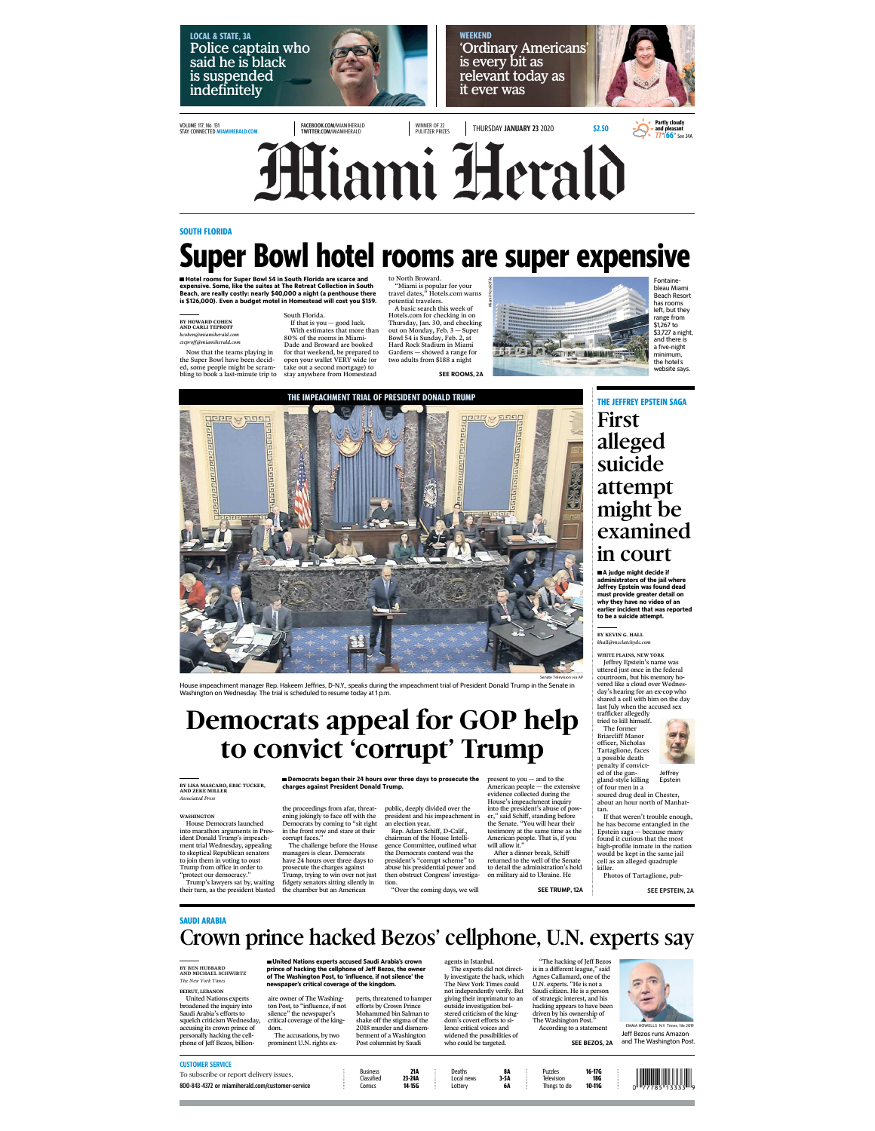**LOCAL & STATE, 3A** Police captain who said he is black is suspended indefinitely



**WEEKEND** 'Ordinary Americans' is every bit as relevant today as it ever was



VOLUME 117, No. 131 STAY CONNECTED MIAMIHERALD.COM

FACEBOOK.COM/MIAMIHERALD TWITTER.COM/MIAMIHERALD

WINNER OF 22<br>PULITZER PRIZES THURSDAY **JANUARY 23** 2020 \$2.50



**Miami Herald** 

#### **SOUTH FLORIDA**

# **Super Bowl hotel rooms are super expensive**

Notel rooms for Super Bowl 54 in South Florida are scarce and<br>expensive. Some, like the suites at The Retreat Collection in South<br>Beach, are really costly: nearly \$40,000 a night (a penthouse there<br>is \$126,000). Even a bud

### **BY HOWARD COHEN AND CARLI TEPROFF** *hcohen@miamiherald.com cteproff@miamiherald.com*

South Florida. If that is you — good luck. With estimates that more than 80% of the rooms in Miami-Dade and Broward are booked for that weekend, be prepared to open your wallet VERY wide (or take out a second mortgage) to stay anywhere from Homestead Now that the teams playing in the Super Bowl have been decid-ed, some people might be scram-bling to book a last-minute trip to

to North Broward.<br>"We South South Space To your travel dates," Hotels.com warns<br>potential travelers.<br>The Alsaic search this week of Hotels.com for checking in on<br>Thursday, Jan. 30, and checking<br>out on Monday, Feb. 3 – Supe Gardens — showed a range for two adults from \$188 a night SEE ROOMS, 2A Miami Herald file

**THE IMPEACHMENT TRIAL OF PRESIDENT DONALD TRUMP** 



bleau Miami Beach Resort has rooms left, but they range from \$1,267 to \$3,727 a night, and there is a five-night minimum, the hotel's website says.

**THE JEFFREY EPSTEIN SAGA** 

First alleged suicide attempt might be examined in court

Fontaine-



Sonate Television is a Article in Maximum is a Sonate Television is a Sonate Television is a Sonate Television<br>Washington on Wednesday, The trial is scheduled to resume today at 1 p.m.<br>Washington on Wednesday, The trial i

## Democrats appeal for GOP help to convict 'corrupt' Trump

**BY LISA MASCARO, ERIC TUCKER, AND ZEKE MILLER** *Associated Press* 

WasHINGTON<br>House Democrats launched<br>ident Donald Trump's impeached<br>ident Donald Trump's impeached<br>to skeptical Republican senators<br>to skeptical Republican senators<br>to join them in voting to oust<br>"protect our democracy."<br>Tr

the proceedings from afar, threat-<br>ening jokingly to face off with the<br>Democrats by coming to "sir right<br>in the front row and stare at their<br>corrupt faces."<br>The challenge before the House<br>The challenge before the House<br>hav

**Democrats began their 24 hours over three days to prosecute the charges against President Donald Trump.**

public, deeply divided over the into the president s abuse of power<br>president and his impeachment in er," said Schiff, standing before an election year.<br>
Rep. Adam Schiff, D-Calif.,<br>
Rep. Adam Schiff, D-Calif.,<br>
testimony

present to you — and to the<br>American people — the extensive<br>evidence collected during the<br>House's impeachment inquiry<br>House's impeachment inquiry<br> $\mu$ ,"  $\mu$ ," with the resente." Wou will hear their<br>the Senate. "Wou will h

#### **SAUDI ARABIA**

## Crown prince hacked Bezos' cellphone, U.N. experts say

**BY BEN HUBBARD AND MICHAEL SCHWIRTZ** *The New York Times*

United Nations experts<br>
United Nations experts<br>
broadened the inquiry into<br>
Saudi Arabia's efforts to<br>
squelch criticism Wednesday,<br>
accusing its crown prince of<br>
personally hacking the cell-<br>
phone of Jeff Bezos, billion

United Nations experts accused Saudi Arabia's crown<br>prince of hacking the cellphone of Jeff Bezos, the owner<br>of The Washington Post, to 'influence, if not silence' the<br>newspaper's critical coverage of the kingdom.

aire owner of The Washing-ton Post, to "influence, if not silence" the newspaper's critical coverage of the king-dom. The accusations, by two prominent U.N. rights exagents in Istanbul. The experts did not direct-ly investigate the hack, which The New York Times could not independently verify. But giving their imprimatur to an outside investigation bol-stered criticism of the king-dom's covert efforts to si-lence critical voices and widened the possibilities of who could be targeted.

Deaths **8A** Local news **3-5A** Lottery **6A** "The hacking of Jeff Bezos<br>is in a different league," said<br>Agnes Callamard, one of the U.N. experts. "He is not a<br>Saudi citizen. He is a person<br>of strategic interest, and his<br>alacking appears to have been<br>dirent by his own

Puzzles **16-17G** Television **18G** Things to do **10-11G**





If that weren't trouble enough, he has become entangled in the Epstein saga — because many found it curious that the most high-profile inmate in the nation would be kept in the same jail cell as an alleged quadruple killer.

Photos of Tartaglione, pub-

SEE EPSTEIN, 2A



Jeff Bezos runs Amazon



800-843-4372 or miamiherald.com/customer-service

perts, threatened to hamper efforts by Crown Prince Mohammed bin Salman to shake off the stigma of the 2018 murder and dismemberment of a Washington Post columnist by Saudi

Business **21A** Classified **23-24A** Comics **14-15G**

WHITE PLAINS, NEW YORK Jeffrey Epstein's name was uttered just once in the federal courtroom, but his memory ho-**BY KEVIN G. HALL** *khall@mcclatchydc.com* **A judge might decide if administrators of the jail where Jeffrey Epstein was found dead must provide greater detail on why they have no video of an earlier incident that was reported to be a suicide attempt.** 

vered like a cloud over Wednesday's hearing for an ex-cop who shared a cell with him on the day

Jeffrey Epstein



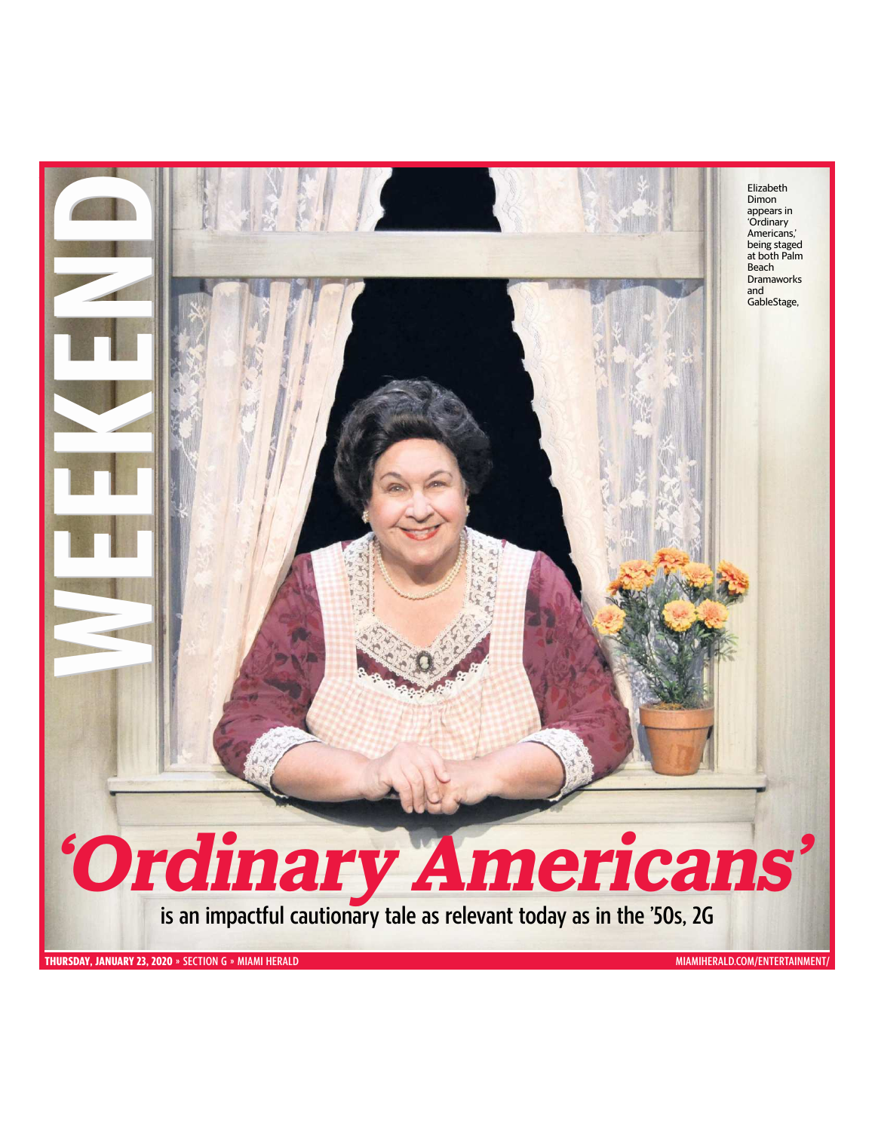